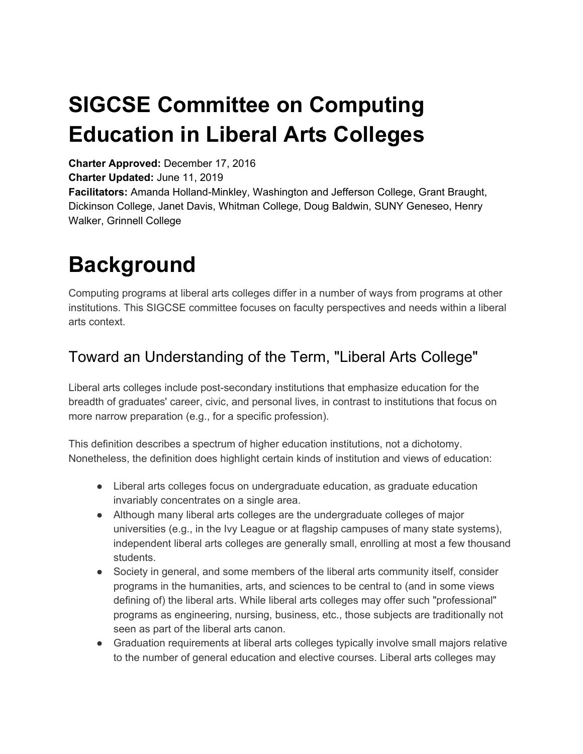## **SIGCSE Committee on Computing Education in Liberal Arts Colleges**

**Charter Approved:** December 17, 2016

**Charter Updated:** June 11, 2019

**Facilitators:** Amanda Holland-Minkley, Washington and Jefferson College, Grant Braught, Dickinson College, Janet Davis, Whitman College, Doug Baldwin, SUNY Geneseo, Henry Walker, Grinnell College

## **Background**

Computing programs at liberal arts colleges differ in a number of ways from programs at other institutions. This SIGCSE committee focuses on faculty perspectives and needs within a liberal arts context.

#### Toward an Understanding of the Term, "Liberal Arts College"

Liberal arts colleges include post-secondary institutions that emphasize education for the breadth of graduates' career, civic, and personal lives, in contrast to institutions that focus on more narrow preparation (e.g., for a specific profession).

This definition describes a spectrum of higher education institutions, not a dichotomy. Nonetheless, the definition does highlight certain kinds of institution and views of education:

- Liberal arts colleges focus on undergraduate education, as graduate education invariably concentrates on a single area.
- Although many liberal arts colleges are the undergraduate colleges of major universities (e.g., in the Ivy League or at flagship campuses of many state systems), independent liberal arts colleges are generally small, enrolling at most a few thousand students.
- Society in general, and some members of the liberal arts community itself, consider programs in the humanities, arts, and sciences to be central to (and in some views defining of) the liberal arts. While liberal arts colleges may offer such "professional" programs as engineering, nursing, business, etc., those subjects are traditionally not seen as part of the liberal arts canon.
- Graduation requirements at liberal arts colleges typically involve small majors relative to the number of general education and elective courses. Liberal arts colleges may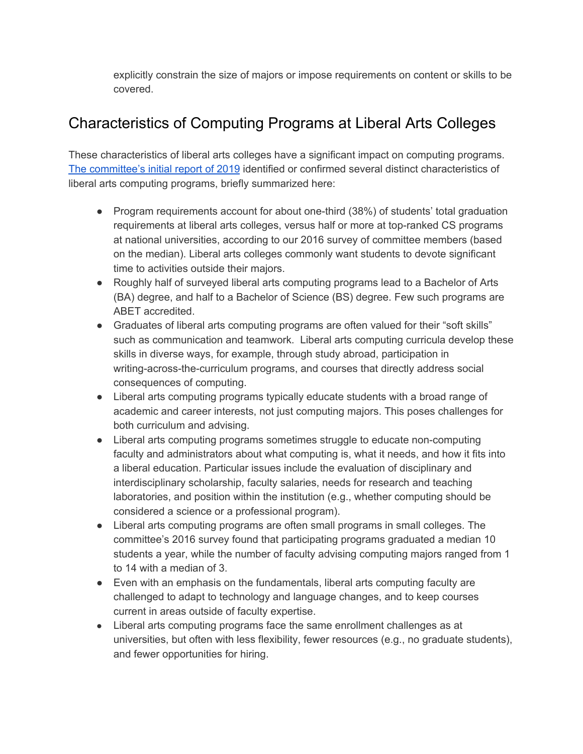explicitly constrain the size of majors or impose requirements on content or skills to be covered.

#### Characteristics of Computing Programs at Liberal Arts Colleges

These characteristics of liberal arts colleges have a significant impact on computing programs. The [committee's](https://dl.acm.org/citation.cfm?id=3314027) initial report of 2019 identified or confirmed several distinct characteristics of liberal arts computing programs, briefly summarized here:

- Program requirements account for about one-third (38%) of students' total graduation requirements at liberal arts colleges, versus half or more at top-ranked CS programs at national universities, according to our 2016 survey of committee members (based on the median). Liberal arts colleges commonly want students to devote significant time to activities outside their majors.
- Roughly half of surveyed liberal arts computing programs lead to a Bachelor of Arts (BA) degree, and half to a Bachelor of Science (BS) degree. Few such programs are ABET accredited.
- Graduates of liberal arts computing programs are often valued for their "soft skills" such as communication and teamwork. Liberal arts computing curricula develop these skills in diverse ways, for example, through study abroad, participation in writing-across-the-curriculum programs, and courses that directly address social consequences of computing.
- Liberal arts computing programs typically educate students with a broad range of academic and career interests, not just computing majors. This poses challenges for both curriculum and advising.
- Liberal arts computing programs sometimes struggle to educate non-computing faculty and administrators about what computing is, what it needs, and how it fits into a liberal education. Particular issues include the evaluation of disciplinary and interdisciplinary scholarship, faculty salaries, needs for research and teaching laboratories, and position within the institution (e.g., whether computing should be considered a science or a professional program).
- Liberal arts computing programs are often small programs in small colleges. The committee's 2016 survey found that participating programs graduated a median 10 students a year, while the number of faculty advising computing majors ranged from 1 to 14 with a median of 3.
- Even with an emphasis on the fundamentals, liberal arts computing faculty are challenged to adapt to technology and language changes, and to keep courses current in areas outside of faculty expertise.
- Liberal arts computing programs face the same enrollment challenges as at universities, but often with less flexibility, fewer resources (e.g., no graduate students), and fewer opportunities for hiring.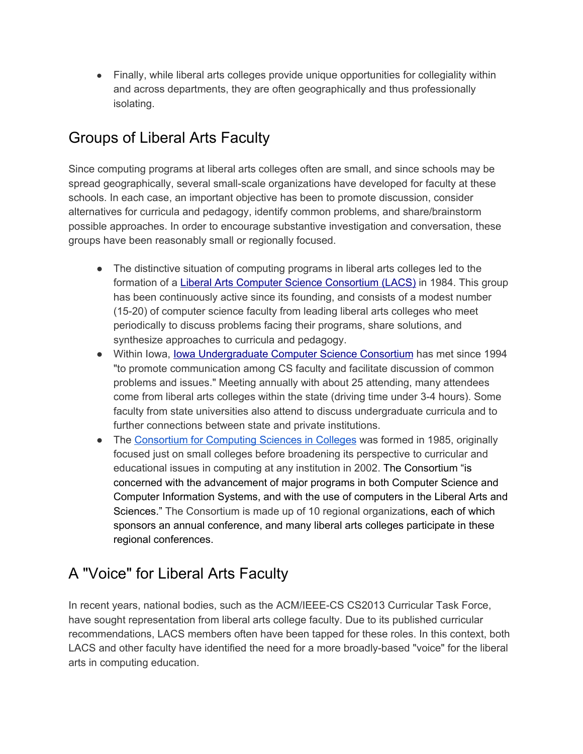• Finally, while liberal arts colleges provide unique opportunities for collegiality within and across departments, they are often geographically and thus professionally isolating.

#### Groups of Liberal Arts Faculty

Since computing programs at liberal arts colleges often are small, and since schools may be spread geographically, several small-scale organizations have developed for faculty at these schools. In each case, an important objective has been to promote discussion, consider alternatives for curricula and pedagogy, identify common problems, and share/brainstorm possible approaches. In order to encourage substantive investigation and conversation, these groups have been reasonably small or regionally focused.

- The distinctive situation of computing programs in liberal arts colleges led to the formation of a Liberal Arts Computer Science [Consortium](http://www.lacs.edu/) (LACS) in 1984. This group has been continuously active since its founding, and consists of a modest number (15-20) of computer science faculty from leading liberal arts colleges who meet periodically to discuss problems facing their programs, share solutions, and synthesize approaches to curricula and pedagogy.
- Within Iowa, Iowa [Undergraduate](http://www.cs.grinnell.edu/~walker/ia-cs/) Computer Science Consortium has met since 1994 "to promote communication among CS faculty and facilitate discussion of common problems and issues." Meeting annually with about 25 attending, many attendees come from liberal arts colleges within the state (driving time under 3-4 hours). Some faculty from state universities also attend to discuss undergraduate curricula and to further connections between state and private institutions.
- The [Consortium](http://www.ccsc.org/) for Computing Sciences in Colleges was formed in 1985, originally focused just on small colleges before broadening its perspective to curricular and educational issues in computing at any institution in 2002. The Consortium "is concerned with the advancement of major programs in both Computer Science and Computer Information Systems, and with the use of computers in the Liberal Arts and Sciences." The Consortium is made up of 10 regional organizations, each of which sponsors an annual conference, and many liberal arts colleges participate in these regional conferences.

#### A "Voice" for Liberal Arts Faculty

In recent years, national bodies, such as the ACM/IEEE-CS CS2013 Curricular Task Force, have sought representation from liberal arts college faculty. Due to its published curricular recommendations, LACS members often have been tapped for these roles. In this context, both LACS and other faculty have identified the need for a more broadly-based "voice" for the liberal arts in computing education.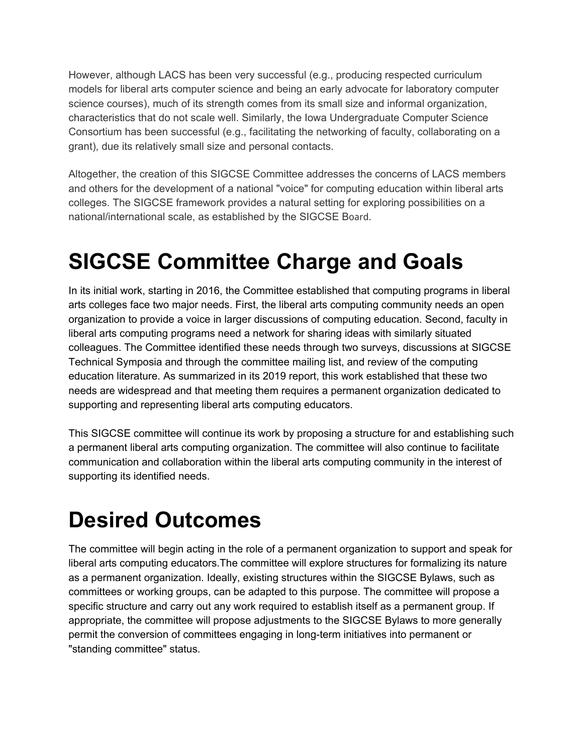However, although LACS has been very successful (e.g., producing respected curriculum models for liberal arts computer science and being an early advocate for laboratory computer science courses), much of its strength comes from its small size and informal organization, characteristics that do not scale well. Similarly, the Iowa Undergraduate Computer Science Consortium has been successful (e.g., facilitating the networking of faculty, collaborating on a grant), due its relatively small size and personal contacts.

Altogether, the creation of this SIGCSE Committee addresses the concerns of LACS members and others for the development of a national "voice" for computing education within liberal arts colleges. The SIGCSE framework provides a natural setting for exploring possibilities on a national/international scale, as established by the SIGCSE Board.

### **SIGCSE Committee Charge and Goals**

In its initial work, starting in 2016, the Committee established that computing programs in liberal arts colleges face two major needs. First, the liberal arts computing community needs an open organization to provide a voice in larger discussions of computing education. Second, faculty in liberal arts computing programs need a network for sharing ideas with similarly situated colleagues. The Committee identified these needs through two surveys, discussions at SIGCSE Technical Symposia and through the committee mailing list, and review of the computing education literature. As summarized in its 2019 report, this work established that these two needs are widespread and that meeting them requires a permanent organization dedicated to supporting and representing liberal arts computing educators.

This SIGCSE committee will continue its work by proposing a structure for and establishing such a permanent liberal arts computing organization. The committee will also continue to facilitate communication and collaboration within the liberal arts computing community in the interest of supporting its identified needs.

### **Desired Outcomes**

The committee will begin acting in the role of a permanent organization to support and speak for liberal arts computing educators.The committee will explore structures for formalizing its nature as a permanent organization. Ideally, existing structures within the SIGCSE Bylaws, such as committees or working groups, can be adapted to this purpose. The committee will propose a specific structure and carry out any work required to establish itself as a permanent group. If appropriate, the committee will propose adjustments to the SIGCSE Bylaws to more generally permit the conversion of committees engaging in long-term initiatives into permanent or "standing committee" status.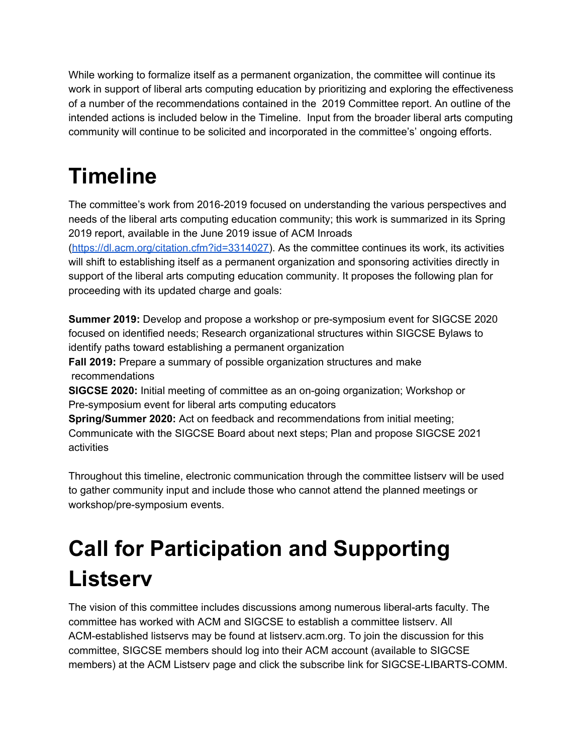While working to formalize itself as a permanent organization, the committee will continue its work in support of liberal arts computing education by prioritizing and exploring the effectiveness of a number of the recommendations contained in the 2019 Committee report. An outline of the intended actions is included below in the Timeline. Input from the broader liberal arts computing community will continue to be solicited and incorporated in the committee's' ongoing efforts.

### **Timeline**

The committee's work from 2016-2019 focused on understanding the various perspectives and needs of the liberal arts computing education community; this work is summarized in its Spring 2019 report, available in the June 2019 issue of ACM Inroads ([https://dl.acm.org/citation.cfm?id=3314027\)](https://dl.acm.org/citation.cfm?id=3314027). As the committee continues its work, its activities will shift to establishing itself as a permanent organization and sponsoring activities directly in support of the liberal arts computing education community. It proposes the following plan for proceeding with its updated charge and goals:

**Summer 2019:** Develop and propose a workshop or pre-symposium event for SIGCSE 2020 focused on identified needs; Research organizational structures within SIGCSE Bylaws to identify paths toward establishing a permanent organization

**Fall 2019:** Prepare a summary of possible organization structures and make recommendations

**SIGCSE 2020:** Initial meeting of committee as an on-going organization; Workshop or Pre-symposium event for liberal arts computing educators

**Spring/Summer 2020:** Act on feedback and recommendations from initial meeting; Communicate with the SIGCSE Board about next steps; Plan and propose SIGCSE 2021 activities

Throughout this timeline, electronic communication through the committee listserv will be used to gather community input and include those who cannot attend the planned meetings or workshop/pre-symposium events.

# **Call for Participation and Supporting Listserv**

The vision of this committee includes discussions among numerous liberal-arts faculty. The committee has worked with ACM and SIGCSE to establish a committee listserv. All ACM-established listservs may be found at listserv.acm.org. To join the discussion for this committee, SIGCSE members should log into their ACM account (available to SIGCSE members) at the ACM Listserv page and click the subscribe link for SIGCSE-LIBARTS-COMM.